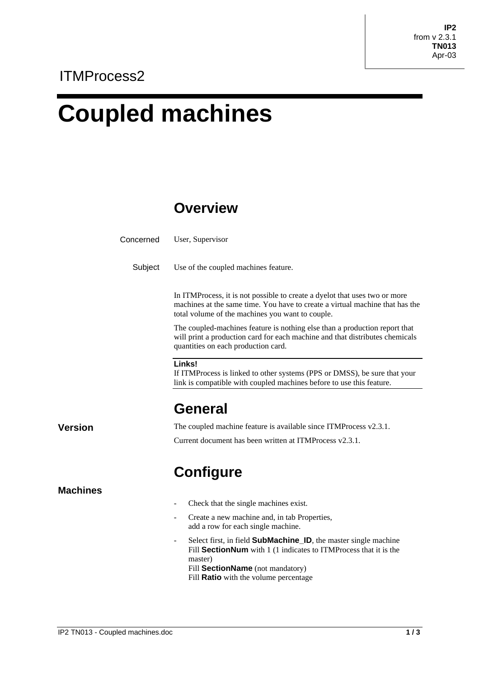## ITMProcess2

# **Coupled machines**

### **Overview**

| Concerned                                                                                                                                                                                         | User, Supervisor                                                                                                                                                                                               |  |  |  |  |  |  |  |
|---------------------------------------------------------------------------------------------------------------------------------------------------------------------------------------------------|----------------------------------------------------------------------------------------------------------------------------------------------------------------------------------------------------------------|--|--|--|--|--|--|--|
| Subject                                                                                                                                                                                           | Use of the coupled machines feature.                                                                                                                                                                           |  |  |  |  |  |  |  |
|                                                                                                                                                                                                   | In ITMProcess, it is not possible to create a dyelot that uses two or more<br>machines at the same time. You have to create a virtual machine that has the<br>total volume of the machines you want to couple. |  |  |  |  |  |  |  |
| The coupled-machines feature is nothing else than a production report that<br>will print a production card for each machine and that distributes chemicals<br>quantities on each production card. |                                                                                                                                                                                                                |  |  |  |  |  |  |  |
|                                                                                                                                                                                                   | Links!<br>If ITMProcess is linked to other systems (PPS or DMSS), be sure that your<br>link is compatible with coupled machines before to use this feature.                                                    |  |  |  |  |  |  |  |
|                                                                                                                                                                                                   | <b>General</b>                                                                                                                                                                                                 |  |  |  |  |  |  |  |
|                                                                                                                                                                                                   | The coupled machine feature is available since ITMProcess v2.3.1.                                                                                                                                              |  |  |  |  |  |  |  |
| Current document has been written at ITMProcess v2.3.1.                                                                                                                                           |                                                                                                                                                                                                                |  |  |  |  |  |  |  |
|                                                                                                                                                                                                   | <b>Configure</b>                                                                                                                                                                                               |  |  |  |  |  |  |  |
|                                                                                                                                                                                                   | Check that the single machines exist.                                                                                                                                                                          |  |  |  |  |  |  |  |
|                                                                                                                                                                                                   | Create a new machine and, in tab Properties,<br>add a row for each single machine.                                                                                                                             |  |  |  |  |  |  |  |
|                                                                                                                                                                                                   | Select first, in field <b>SubMachine ID</b> , the master single machine                                                                                                                                        |  |  |  |  |  |  |  |

- Select first, in field **SubMachine\_ID**, the master single machine Fill **SectionNum** with 1 (1 indicates to ITMProcess that it is the master)

Fill **SectionName** (not mandatory)

Fill **Ratio** with the volume percentage

**Machines**

**Version**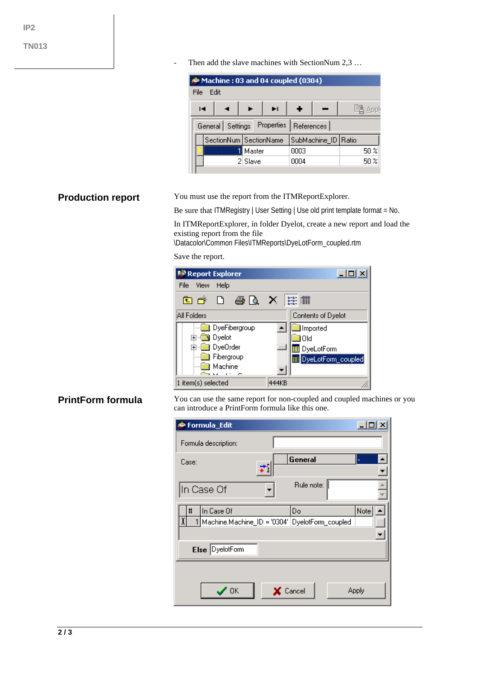- Then add the slave machines with SectionNum 2,3 ...

| Machine: 03 and 04 coupled (0304)         |                        |                     |                 |  |  |  |  |  |  |
|-------------------------------------------|------------------------|---------------------|-----------------|--|--|--|--|--|--|
| Edit<br>File                              |                        |                     |                 |  |  |  |  |  |  |
| м                                         | E                      |                     | 聲 Appl          |  |  |  |  |  |  |
| General Settings Properties<br>References |                        |                     |                 |  |  |  |  |  |  |
|                                           | SectionNum SectionName | SubMachine_ID Ratio |                 |  |  |  |  |  |  |
|                                           | Master                 | 0003                | $50\%$          |  |  |  |  |  |  |
|                                           | 2 Slave                | 0004                | 50 <sup>2</sup> |  |  |  |  |  |  |
|                                           |                        |                     |                 |  |  |  |  |  |  |

#### **Production report**

You must use the report from the ITMReportExplorer.

Be sure that ITMRegistry | User Setting | Use old print template format = No.

In ITMReportExplorer, in folder Dyelot, create a new report and load the existing report from the file

\Datacolor\Common Files\ITMReports\DyeLotForm\_coupled.rtm

Save the report.

| Report Explorer             |                    |
|-----------------------------|--------------------|
| File<br>Help<br><b>View</b> |                    |
|                             |                    |
| All Folders                 | Contents of Dyelot |
| DyeFibergroup               | Imported           |
| 由 <mark>心</mark> Dyelot     | 10Id               |
| ⊞ DyeOrder                  | DyeLotForm         |
| Fibergroup                  | DyeLotForm_coupled |
| Machine                     |                    |
| 1 item(s) selected          | 444KB              |

#### **PrintForm formula**

You can use the same report for non-coupled and coupled machines or you can introduce a PrintForm formula like this one.

| Formula_Edit                                        |                          |       |
|-----------------------------------------------------|--------------------------|-------|
| Formula description:                                |                          |       |
| Case:                                               | General                  |       |
| In Case Of                                          | Rule note:               |       |
| In Case Of<br>#<br>ï<br>Machine.Machine_ID = '0304' | Do<br>DyelotForm_coupled | Note  |
| Else DyelotForm                                     |                          |       |
| $\prime$ ok                                         | X Cancel                 | Apply |